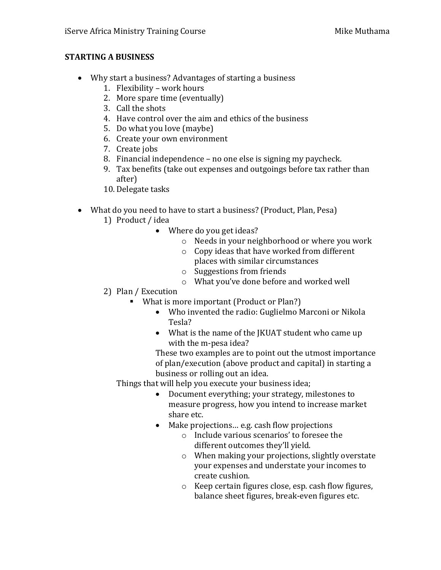# **STARTING A BUSINESS**

- Why start a business? Advantages of starting a business
	- 1. Flexibility work hours
	- 2. More spare time (eventually)
	- 3. Call the shots
	- 4. Have control over the aim and ethics of the business
	- 5. Do what you love (maybe)
	- 6. Create your own environment
	- 7. Create jobs
	- 8. Financial independence no one else is signing my paycheck.
	- 9. Tax benefits (take out expenses and outgoings before tax rather than after)
	- 10. Delegate tasks
- What do you need to have to start a business? (Product, Plan, Pesa)
	- 1) Product / idea
		- Where do you get ideas?
			- o Needs in your neighborhood or where you work
			- o Copy ideas that have worked from different places with similar circumstances
			- o Suggestions from friends
			- o What you've done before and worked well
	- 2) Plan / Execution
		- What is more important (Product or Plan?)
			- Who invented the radio: Guglielmo Marconi or Nikola Tesla?
			- What is the name of the JKUAT student who came up with the m-pesa idea?

These two examples are to point out the utmost importance of plan/execution (above product and capital) in starting a business or rolling out an idea.

Things that will help you execute your business idea;

- Document everything; your strategy, milestones to measure progress, how you intend to increase market share etc.
- Make projections… e.g. cash flow projections
	- o Include various scenarios' to foresee the different outcomes they'll yield.
	- o When making your projections, slightly overstate your expenses and understate your incomes to create cushion.
	- o Keep certain figures close, esp. cash flow figures, balance sheet figures, break-even figures etc.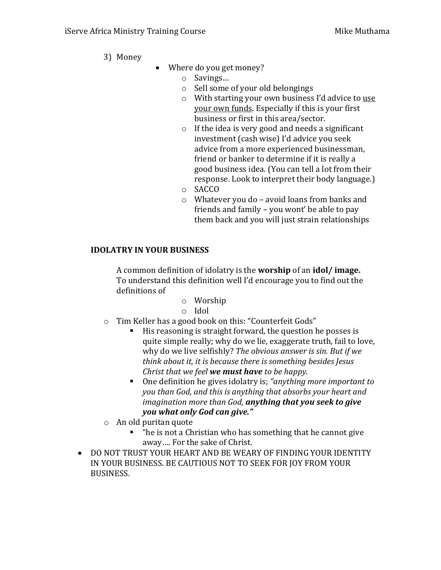- 3) Money
- Where do you get money?
	- o Savings…
	- o Sell some of your old belongings
	- o With starting your own business I'd advice to use your own funds. Especially if this is your first business or first in this area/sector.
	- o If the idea is very good and needs a significant investment (cash wise) I'd advice you seek advice from a more experienced businessman, friend or banker to determine if it is really a good business idea. (You can tell a lot from their response. Look to interpret their body language.)
	- o SACCO
	- o Whatever you do avoid loans from banks and friends and family – you wont' be able to pay them back and you will just strain relationships

# **IDOLATRY IN YOUR BUSINESS**

A common definition of idolatry is the **worship** of an **idol/ image.** To understand this definition well I'd encourage you to find out the definitions of

- o Worship
- o Idol
- o Tim Keller has a good book on this: "Counterfeit Gods"
	- His reasoning is straight forward, the question he posses is quite simple really; why do we lie, exaggerate truth, fail to love, why do we live selfishly? *The obvious answer is sin. But if we think about it, it is because there is something besides Jesus Christ that we feel we must have to be happy.*
	- One definition he gives idolatry is; *"anything more important to you than God, and this is anything that absorbs your heart and imagination more than God, anything that you seek to give you what only God can give."*
- o An old puritan quote
	- "he is not a Christian who has something that he cannot give away…. For the sake of Christ.
- DO NOT TRUST YOUR HEART AND BE WEARY OF FINDING YOUR IDENTITY IN YOUR BUSINESS. BE CAUTIOUS NOT TO SEEK FOR JOY FROM YOUR BUSINESS.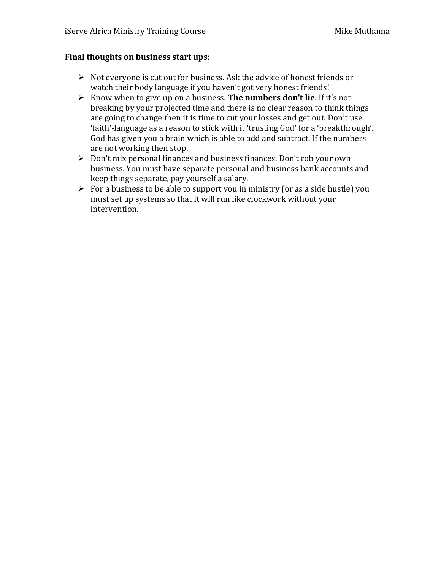#### **Final thoughts on business start ups:**

- $\triangleright$  Not everyone is cut out for business. Ask the advice of honest friends or watch their body language if you haven't got very honest friends!
- Know when to give up on a business. **The numbers don't lie**. If it's not breaking by your projected time and there is no clear reason to think things are going to change then it is time to cut your losses and get out. Don't use 'faith'-language as a reason to stick with it 'trusting God' for a 'breakthrough'. God has given you a brain which is able to add and subtract. If the numbers are not working then stop.
- Don't mix personal finances and business finances. Don't rob your own business. You must have separate personal and business bank accounts and keep things separate, pay yourself a salary.
- $\triangleright$  For a business to be able to support you in ministry (or as a side hustle) you must set up systems so that it will run like clockwork without your intervention.